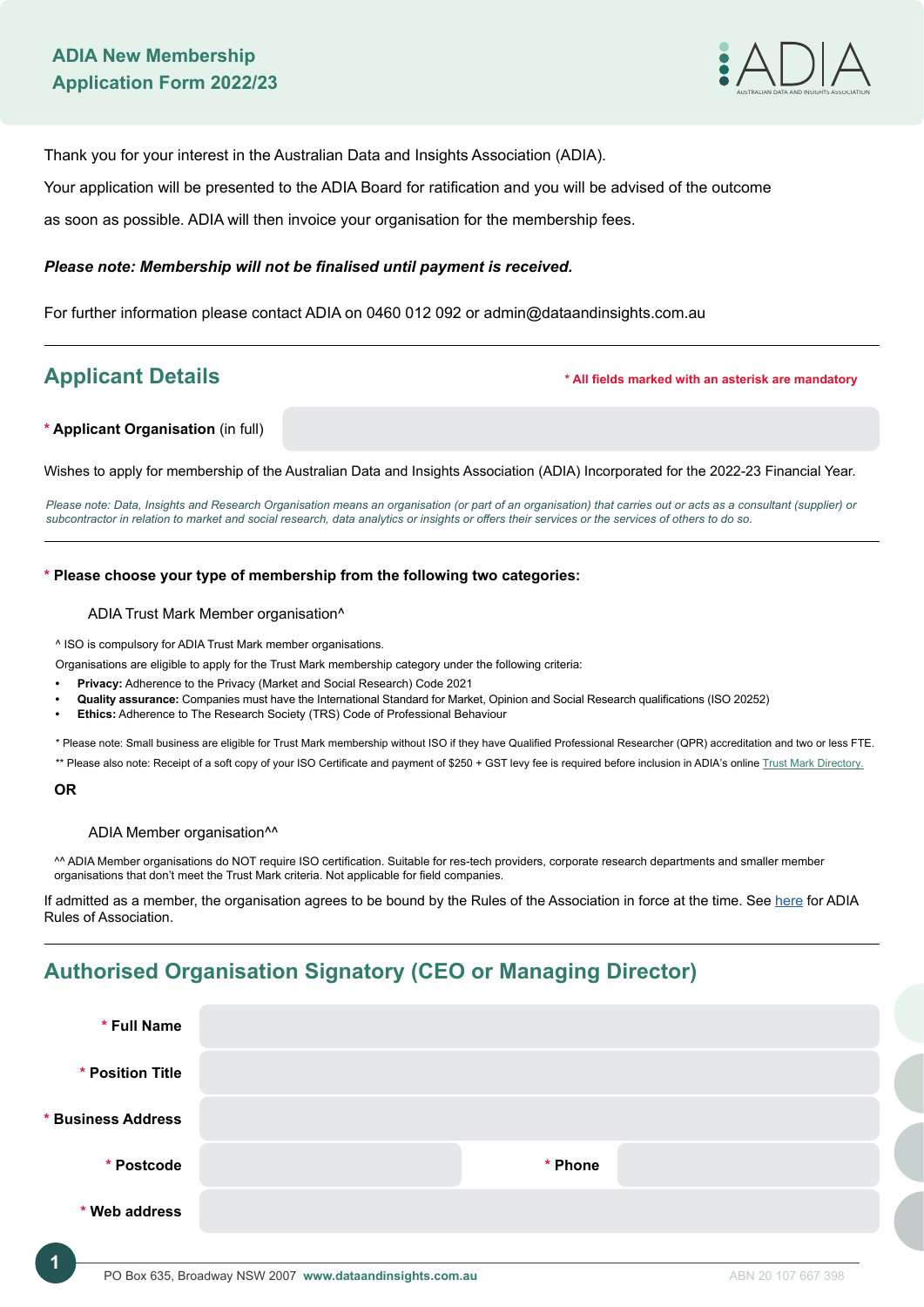

Thank you for your interest in the Australian Data and Insights Association (ADIA).

Your application will be presented to the ADIA Board for ratification and you will be advised of the outcome

as soon as possible. ADIA will then invoice your organisation for the membership fees.

# *Please note: Membership will not be finalised until payment is received.*

For further information please contact ADIA on 0460 012 092 or admin@dataandinsights.com.au

**Applicant Details \* All fields marked with an asterisk are mandatory**

## **\* Applicant Organisation** (in full)

Wishes to apply for membership of the Australian Data and Insights Association (ADIA) Incorporated for the 2022-23 Financial Year.

*Please note: Data, Insights and Research Organisation means an organisation (or part of an organisation) that carries out or acts as a consultant (supplier) or subcontractor in relation to market and social research, data analytics or insights or offers their services or the services of others to do so.*

## **\* Please choose your type of membership from the following two categories:**

### ADIA Trust Mark Member organisation^

^ ISO is compulsory for ADIA Trust Mark member organisations.

Organisations are eligible to apply for the Trust Mark membership category under the following criteria:

- **• Privacy:** Adherence to the Privacy (Market and Social Research) Code 2021
- **• Quality assurance:** Companies must have the International Standard for Market, Opinion and Social Research qualifications (ISO 20252)
- **• Ethics:** Adherence to The Research Society (TRS) Code of Professional Behaviour

\* Please note: Small business are eligible for Trust Mark membership without ISO if they have Qualified Professional Researcher (QPR) accreditation and two or less FTE. \*\* Please also note: Receipt of a soft copy of your ISO Certificate and payment of \$250 + GST levy fee is required before inclusion in ADIA's online [Trust Mark Directory.](https://dataandinsights.com.au/directory/)

### **OR**

### ADIA Member organisation^^

^^ ADIA Member organisations do NOT require ISO certification. Suitable for res-tech providers, corporate research departments and smaller member organisations that don't meet the Trust Mark criteria. Not applicable for field companies.

If admitted as a member, the organisation agrees to be bound by the Rules of the Association in force at the time. See [here](https://dataandinsights.com.au/wp-content/uploads/2021/04/THE-AUSTRALIAN-DATA-AND-INSIGHTS-ASSOCIATION-ADIA-INCORPORATED-RULES-OF-ASSOCIATION-April-2021.pdf) for ADIA Rules of Association.

# **Authorised Organisation Signatory (CEO or Managing Director)**

| * Full Name        |         |  |
|--------------------|---------|--|
| * Position Title   |         |  |
| * Business Address |         |  |
| * Postcode         | * Phone |  |
| * Web address      |         |  |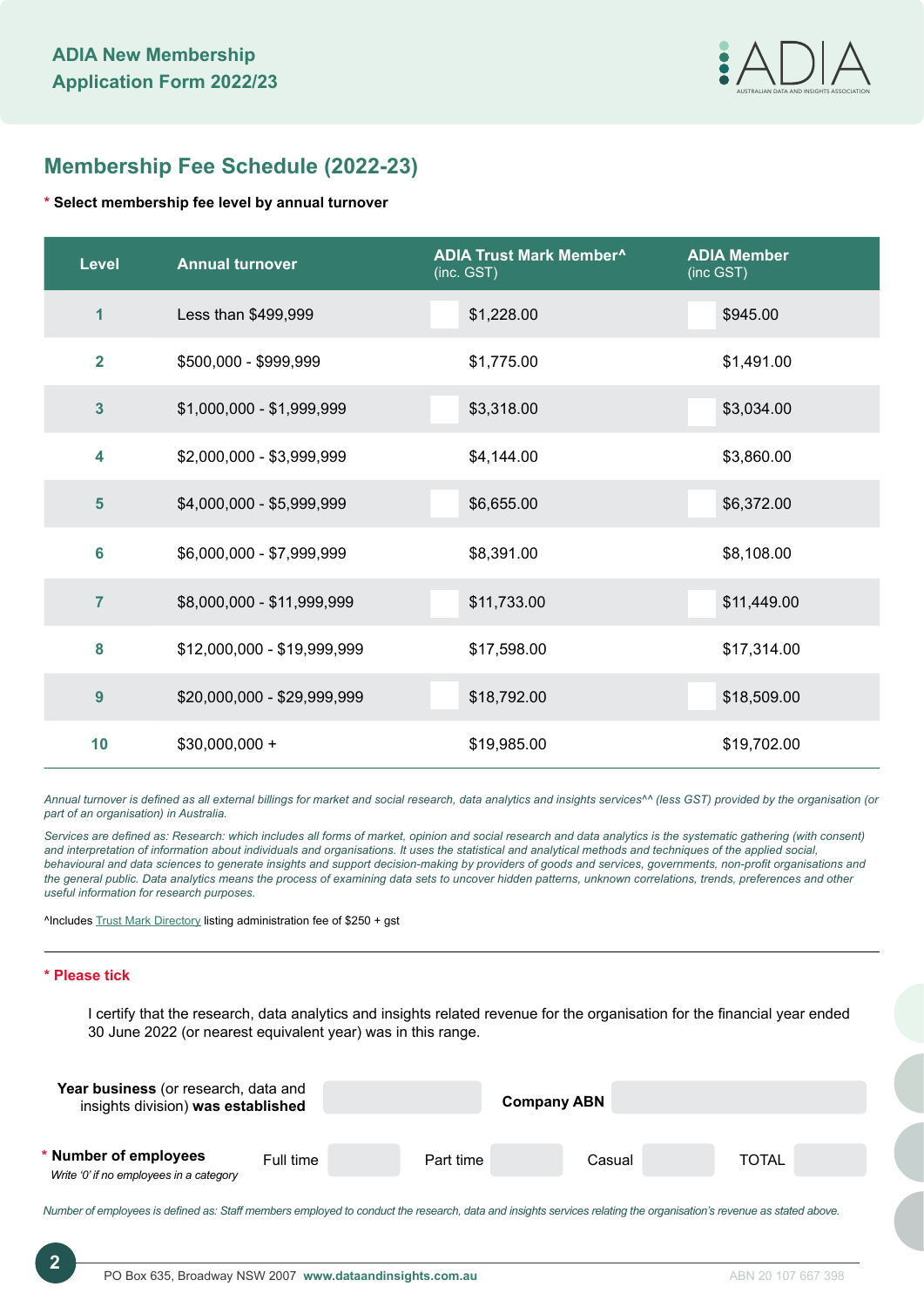

# **Membership Fee Schedule (2022-23)**

# **\* Select membership fee level by annual turnover**

| <b>Level</b>            | <b>Annual turnover</b>      | <b>ADIA Trust Mark Member^</b><br>(inc. GST) | <b>ADIA Member</b><br>(inc GST) |
|-------------------------|-----------------------------|----------------------------------------------|---------------------------------|
| 1                       | Less than \$499,999         | \$1,228.00                                   | \$945.00                        |
| $\overline{2}$          | \$500,000 - \$999,999       | \$1,775.00                                   | \$1,491.00                      |
| $\overline{\mathbf{3}}$ | \$1,000,000 - \$1,999,999   | \$3,318.00                                   | \$3,034.00                      |
| 4                       | \$2,000,000 - \$3,999,999   | \$4,144.00                                   | \$3,860.00                      |
| 5                       | \$4,000,000 - \$5,999,999   | \$6,655.00                                   | \$6,372.00                      |
| 6                       | \$6,000,000 - \$7,999,999   | \$8,391.00                                   | \$8,108.00                      |
| $\overline{7}$          | \$8,000,000 - \$11,999,999  | \$11,733.00                                  | \$11,449.00                     |
| 8                       | \$12,000,000 - \$19,999,999 | \$17,598.00                                  | \$17,314.00                     |
| $\overline{9}$          | \$20,000,000 - \$29,999,999 | \$18,792.00                                  | \$18,509.00                     |
| 10                      | $$30,000,000 +$             | \$19,985.00                                  | \$19,702.00                     |

*Annual turnover is defined as all external billings for market and social research, data analytics and insights services^^ (less GST) provided by the organisation (or part of an organisation) in Australia.* 

*Services are defined as: Research: which includes all forms of market, opinion and social research and data analytics is the systematic gathering (with consent) and interpretation of information about individuals and organisations. It uses the statistical and analytical methods and techniques of the applied social, behavioural and data sciences to generate insights and support decision-making by providers of goods and services, governments, non-profit organisations and the general public. Data analytics means the process of examining data sets to uncover hidden patterns, unknown correlations, trends, preferences and other useful information for research purposes.*

^Includes [Trust Mark Directory](https://dataandinsights.com.au/directory/) listing administration fee of \$250 + gst

# **\* Please tick**

I certify that the research, data analytics and insights related revenue for the organisation for the financial year ended 30 June 2022 (or nearest equivalent year) was in this range.

| Year business (or research, data and<br>insights division) was established |           |           | <b>Company ABN</b> |              |
|----------------------------------------------------------------------------|-----------|-----------|--------------------|--------------|
| * Number of employees<br>Write '0' if no employees in a category           | Full time | Part time | Casual             | <b>TOTAL</b> |

*Number of employees is defined as: Staff members employed to conduct the research, data and insights services relating the organisation's revenue as stated above.* 

**2**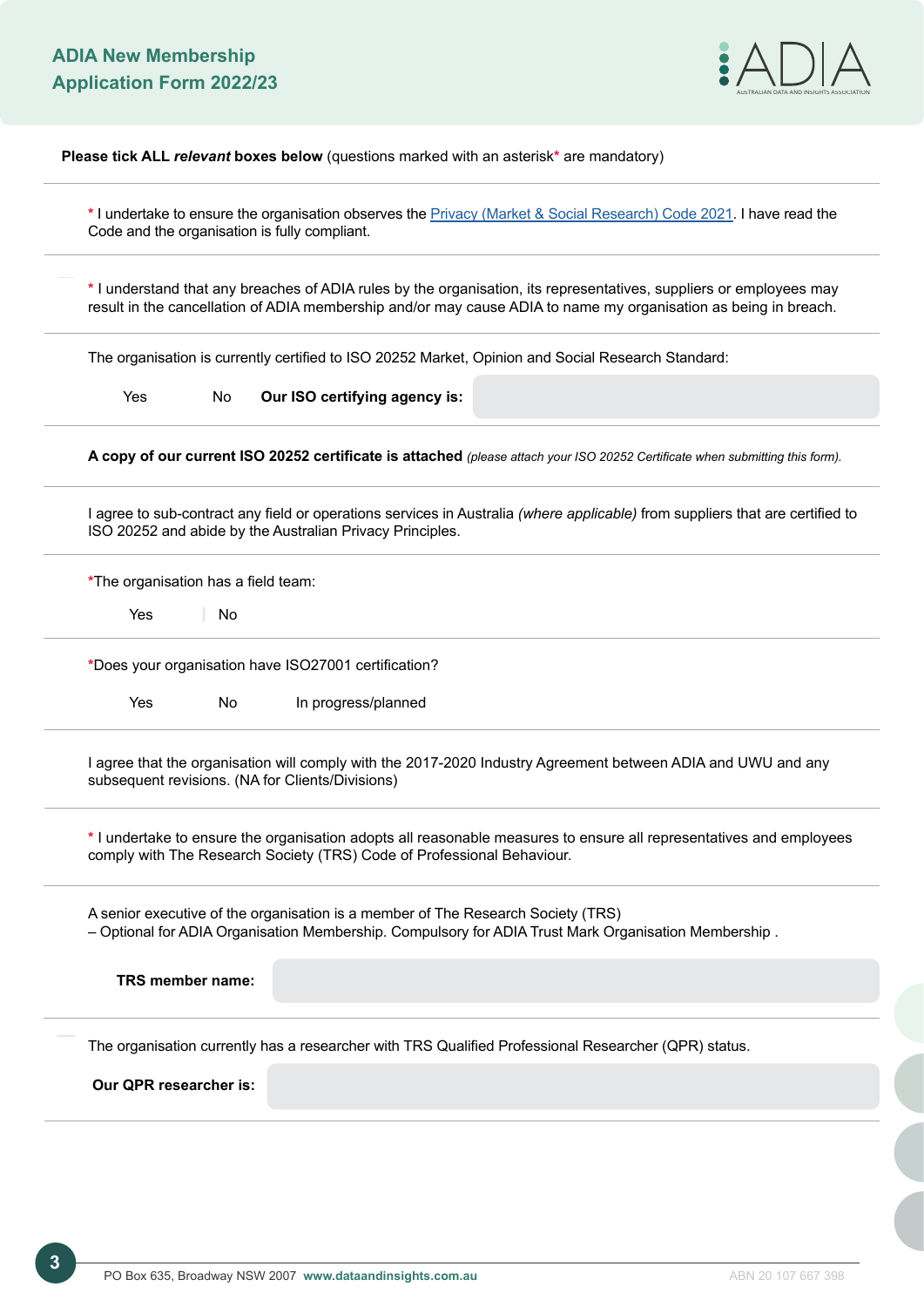

**Please tick ALL** *relevant* **boxes below** (questions marked with an asterisk**\*** are mandatory)

**\*** I undertake to ensure the organisation observes the [Privacy \(Market & Social Research\) Code 2021](https://dataandinsights.com.au/wp-content/uploads/2021/07/ADIA-The-Privacy-Market-and-Social-Research-Code-2021-Member-Version_FINAL.pdf). I have read the Code and the organisation is fully compliant.

**\*** I understand that any breaches of ADIA rules by the organisation, its representatives, suppliers or employees may result in the cancellation of ADIA membership and/or may cause ADIA to name my organisation as being in breach.

The organisation is currently certified to ISO 20252 Market, Opinion and Social Research Standard:

Yes No **Our ISO certifying agency is:**

**A copy of our current ISO 20252 certificate is attached** *(please attach your ISO 20252 Certificate when submitting this form).*

I agree to sub-contract any field or operations services in Australia *(where applicable)* from suppliers that are certified to ISO 20252 and abide by the Australian Privacy Principles.

**\***The organisation has a field team:

Yes No

**\***Does your organisation have ISO27001 certification?

Yes No In progress/planned

I agree that the organisation will comply with the 2017-2020 Industry Agreement between ADIA and UWU and any subsequent revisions. (NA for Clients/Divisions)

**\*** I undertake to ensure the organisation adopts all reasonable measures to ensure all representatives and employees comply with The Research Society (TRS) Code of Professional Behaviour.

A senior executive of the organisation is a member of The Research Society (TRS) – Optional for ADIA Organisation Membership. Compulsory for ADIA Trust Mark Organisation Membership .

| TRS member name:                                                                                     |  |  |
|------------------------------------------------------------------------------------------------------|--|--|
| The organisation currently has a researcher with TRS Qualified Professional Researcher (QPR) status. |  |  |
| Our QPR researcher is:                                                                               |  |  |

**3**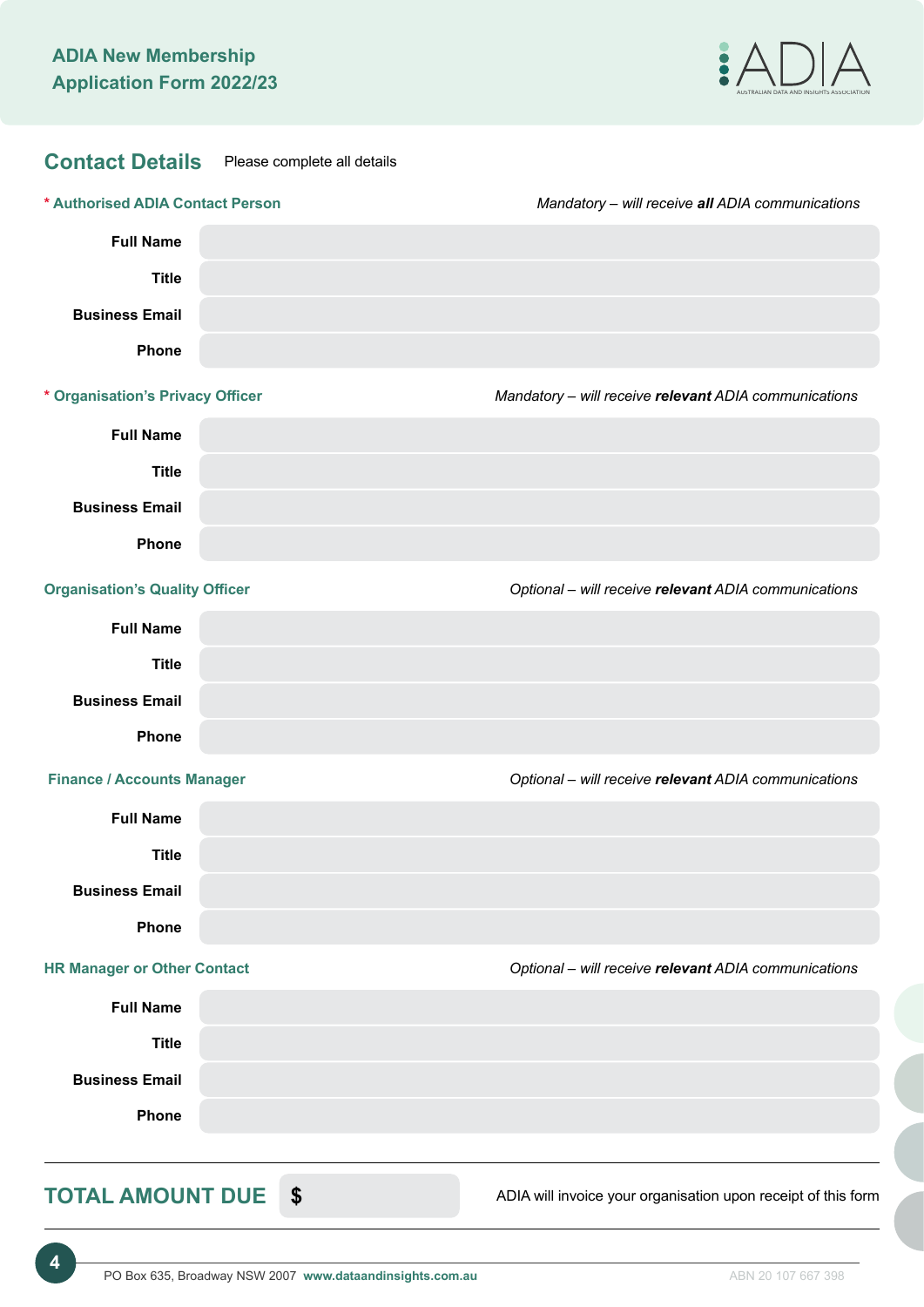

| <b>Contact Details</b>                | Please complete all details |                                                               |
|---------------------------------------|-----------------------------|---------------------------------------------------------------|
| * Authorised ADIA Contact Person      |                             | Mandatory - will receive all ADIA communications              |
| <b>Full Name</b>                      |                             |                                                               |
| <b>Title</b>                          |                             |                                                               |
| <b>Business Email</b>                 |                             |                                                               |
| <b>Phone</b>                          |                             |                                                               |
| * Organisation's Privacy Officer      |                             | Mandatory - will receive relevant ADIA communications         |
| <b>Full Name</b>                      |                             |                                                               |
| <b>Title</b>                          |                             |                                                               |
| <b>Business Email</b>                 |                             |                                                               |
| Phone                                 |                             |                                                               |
| <b>Organisation's Quality Officer</b> |                             | Optional - will receive relevant ADIA communications          |
| <b>Full Name</b>                      |                             |                                                               |
| <b>Title</b>                          |                             |                                                               |
| <b>Business Email</b>                 |                             |                                                               |
| <b>Phone</b>                          |                             |                                                               |
| <b>Finance / Accounts Manager</b>     |                             | Optional - will receive relevant ADIA communications          |
| <b>Full Name</b>                      |                             |                                                               |
| <b>Title</b>                          |                             |                                                               |
| <b>Business Email</b>                 |                             |                                                               |
| Phone                                 |                             |                                                               |
| <b>HR Manager or Other Contact</b>    |                             | Optional - will receive relevant ADIA communications          |
| <b>Full Name</b>                      |                             |                                                               |
| <b>Title</b>                          |                             |                                                               |
| <b>Business Email</b>                 |                             |                                                               |
| Phone                                 |                             |                                                               |
| TOTAL AMOUNT DUE \$                   |                             | ADIA will invoice your organisation upon receipt of this form |

**4**

ADIA WIII invoice your organisation upon re